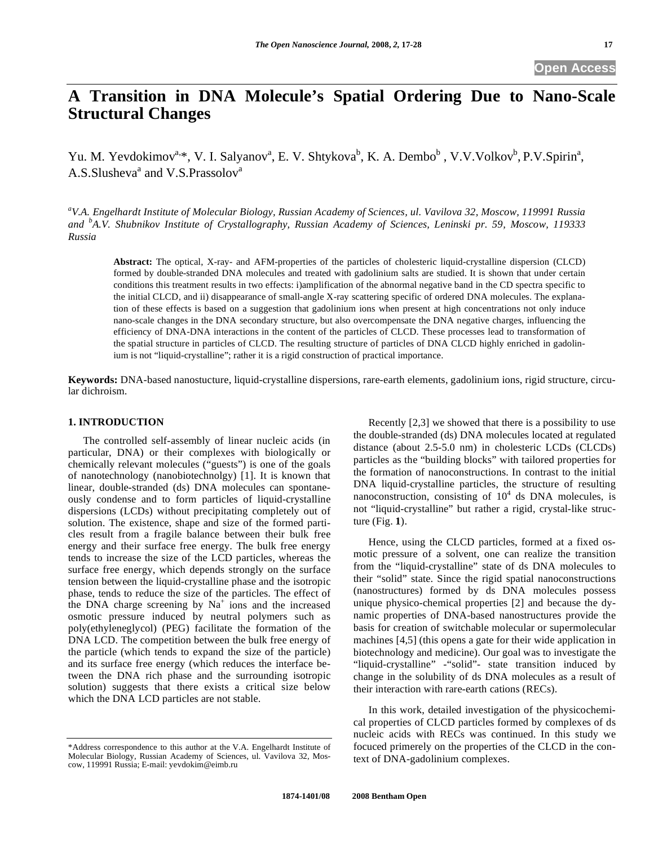# **A Transition in DNA Molecule's Spatial Ordering Due to Nano-Scale Structural Changes**

Yu. M. Yevdokimov<sup>a,\*</sup>, V. I. Salyanov<sup>a</sup>, E. V. Shtykova<sup>b</sup>, K. A. Dembo<sup>b</sup>, V.V.Volkov<sup>b</sup>, P.V.Spirin<sup>a</sup>, A.S.Slusheva<sup>a</sup> and V.S.Prassolov<sup>a</sup>

*a V.A. Engelhardt Institute of Molecular Biology, Russian Academy of Sciences, ul. Vavilova 32, Moscow, 119991 Russia and <sup>b</sup> A.V. Shubnikov Institute of Crystallography, Russian Academy of Sciences, Leninski pr. 59, Moscow, 119333 Russia* 

**Abstract:** The optical, X-ray- and AFM-properties of the particles of cholesteric liquid-crystalline dispersion (CLCD) formed by double-stranded DNA molecules and treated with gadolinium salts are studied. It is shown that under certain conditions this treatment results in two effects: i)amplification of the abnormal negative band in the CD spectra specific to the initial CLCD, and ii) disappearance of small-angle X-ray scattering specific of ordered DNA molecules. The explanation of these effects is based on a suggestion that gadolinium ions when present at high concentrations not only induce nano-scale changes in the DNA secondary structure, but also overcompensate the DNA negative charges, influencing the efficiency of DNA-DNA interactions in the content of the particles of CLCD. These processes lead to transformation of the spatial structure in particles of CLCD. The resulting structure of particles of DNA CLCD highly enriched in gadolinium is not "liquid-crystalline"; rather it is a rigid construction of practical importance.

**Keywords:** DNA-based nanostucture, liquid-crystalline dispersions, rare-earth elements, gadolinium ions, rigid structure, circular dichroism.

# **1. INTRODUCTION**

The controlled self-assembly of linear nucleic acids (in particular, DNA) or their complexes with biologically or chemically relevant molecules ("guests") is one of the goals of nanotechnology (nanobiotechnolgy) [1]. It is known that linear, double-stranded (ds) DNA molecules can spontaneously condense and to form particles of liquid-crystalline dispersions (LCDs) without precipitating completely out of solution. The existence, shape and size of the formed particles result from a fragile balance between their bulk free energy and their surface free energy. The bulk free energy tends to increase the size of the LCD particles, whereas the surface free energy, which depends strongly on the surface tension between the liquid-crystalline phase and the isotropic phase, tends to reduce the size of the particles. The effect of the DNA charge screening by  $Na<sup>+</sup>$  ions and the increased osmotic pressure induced by neutral polymers such as poly(ethyleneglycol) (PEG) facilitate the formation of the DNA LCD. The competition between the bulk free energy of the particle (which tends to expand the size of the particle) and its surface free energy (which reduces the interface between the DNA rich phase and the surrounding isotropic solution) suggests that there exists a critical size below which the DNA LCD particles are not stable.

\*Address correspondence to this author at the V.A. Engelhardt Institute of Molecular Biology, Russian Academy of Sciences, ul. Vavilova 32, Moscow, 119991 Russia; E-mail: yevdokim@eimb.ru

Recently [2,3] we showed that there is a possibility to use the double-stranded (ds) DNA molecules located at regulated distance (about 2.5-5.0 nm) in cholesteric LCDs (CLCDs) particles as the "building blocks" with tailored properties for the formation of nanoconstructions. In contrast to the initial DNA liquid-crystalline particles, the structure of resulting nanoconstruction, consisting of  $10<sup>4</sup>$  ds DNA molecules, is not "liquid-crystalline" but rather a rigid, crystal-like structure (Fig. **1**).

Hence, using the CLCD particles, formed at a fixed osmotic pressure of a solvent, one can realize the transition from the "liquid-crystalline" state of ds DNA molecules to their "solid" state. Since the rigid spatial nanoconstructions (nanostructures) formed by ds DNA molecules possess unique physico-chemical properties [2] and because the dynamic properties of DNA-based nanostructures provide the basis for creation of switchable molecular or supermolecular machines [4,5] (this opens a gate for their wide application in biotechnology and medicine). Our goal was to investigate the "liquid-crystalline" -"solid"- state transition induced by change in the solubility of ds DNA molecules as a result of their interaction with rare-earth cations (RECs).

In this work, detailed investigation of the physicochemical properties of CLCD particles formed by complexes of ds nucleic acids with RECs was continued. In this study we focuced primerely on the properties of the CLCD in the context of DNA-gadolinium complexes.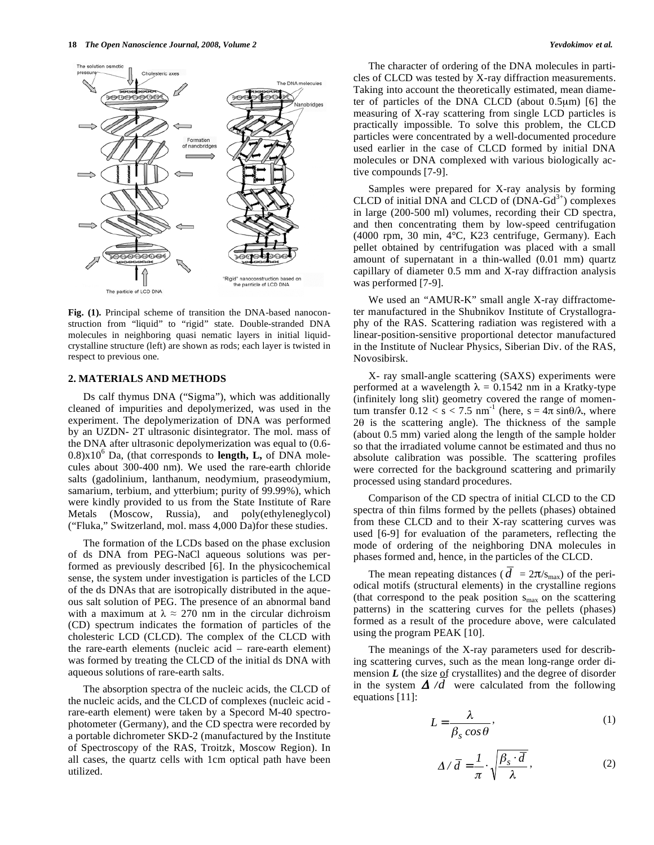

**Fig. (1).** Principal scheme of transition the DNA-based nanoconstruction from "liquid" to "rigid" state. Double-stranded DNA molecules in neighboring quasi nematic layers in initial liquidcrystalline structure (left) are shown as rods; each layer is twisted in respect to previous one.

#### **2. MATERIALS AND METHODS**

Ds calf thymus DNA ("Sigma"), which was additionally cleaned of impurities and depolymerized, was used in the experiment. The depolymerization of DNA was performed by an UZDN- 2T ultrasonic disintegrator. The mol. mass of the DNA after ultrasonic depolymerization was equal to (0.6- 0.8)x10<sup>6</sup> Da, (that corresponds to **length, L,** of DNA molecules about 300-400 nm). We used the rare-earth chloride salts (gadolinium, lanthanum, neodymium, praseodymium, samarium, terbium, and ytterbium; purity of 99.99%), which were kindly provided to us from the State Institute of Rare Metals (Moscow, Russia), and poly(ethyleneglycol) ("Fluka," Switzerland, mol. mass 4,000 Da)for these studies.

The formation of the LCDs based on the phase exclusion of ds DNA from PEG-NaCl aqueous solutions was performed as previously described [6]. In the physicochemical sense, the system under investigation is particles of the LCD of the ds DNAs that are isotropically distributed in the aqueous salt solution of PEG. The presence of an abnormal band with a maximum at  $\lambda \approx 270$  nm in the circular dichroism (CD) spectrum indicates the formation of particles of the cholesteric LCD (CLCD). The complex of the CLCD with the rare-earth elements (nucleic acid – rare-earth element) was formed by treating the CLCD of the initial ds DNA with aqueous solutions of rare-earth salts.

The absorption spectra of the nucleic acids, the CLCD of the nucleic acids, and the CLCD of complexes (nucleic acid rare-earth element) were taken by a Specord M-40 spectrophotometer (Germany), and the CD spectra were recorded by a portable dichrometer SKD-2 (manufactured by the Institute of Spectroscopy of the RAS, Troitzk, Moscow Region). In all cases, the quartz cells with 1cm optical path have been utilized.

The character of ordering of the DNA molecules in particles of CLCD was tested by X-ray diffraction measurements. Taking into account the theoretically estimated, mean diameter of particles of the DNA CLCD (about 0.5μm) [6] the measuring of X-ray scattering from single LCD particles is practically impossible. To solve this problem, the CLCD particles were concentrated by a well-documented procedure used earlier in the case of CLCD formed by initial DNA molecules or DNA complexed with various biologically active compounds [7-9].

Samples were prepared for X-ray analysis by forming CLCD of initial DNA and CLCD of  $(DNA-Gd<sup>3+</sup>)$  complexes in large (200-500 ml) volumes, recording their CD spectra, and then concentrating them by low-speed centrifugation (4000 rpm, 30 min, 4°C, K23 centrifuge, Germany). Each pellet obtained by centrifugation was placed with a small amount of supernatant in a thin-walled (0.01 mm) quartz capillary of diameter 0.5 mm and X-ray diffraction analysis was performed [7-9].

We used an "AMUR-K" small angle X-ray diffractometer manufactured in the Shubnikov Institute of Crystallography of the RAS. Scattering radiation was registered with a linear-position-sensitive proportional detector manufactured in the Institute of Nuclear Physics, Siberian Div. of the RAS, Novosibirsk.

X- ray small-angle scattering (SAXS) experiments were performed at a wavelength  $\lambda = 0.1542$  nm in a Kratky-type (infinitely long slit) geometry covered the range of momentum transfer  $0.12 < s < 7.5$  nm<sup>-1</sup> (here,  $s = 4\pi \sin{\theta/\lambda}$ , where 20 is the scattering angle). The thickness of the sample (about 0.5 mm) varied along the length of the sample holder so that the irradiated volume cannot be estimated and thus no absolute calibration was possible. The scattering profiles were corrected for the background scattering and primarily processed using standard procedures.

Comparison of the CD spectra of initial CLCD to the CD spectra of thin films formed by the pellets (phases) obtained from these CLCD and to their X-ray scattering curves was used [6-9] for evaluation of the parameters, reflecting the mode of ordering of the neighboring DNA molecules in phases formed and, hence, in the particles of the CLCD.

The mean repeating distances ( $d = 2\pi/s_{\text{max}}$ ) of the periodical motifs (structural elements) in the crystalline regions (that correspond to the peak position  $s_{\text{max}}$  on the scattering patterns) in the scattering curves for the pellets (phases) formed as a result of the procedure above, were calculated using the program PEAK [10].

The meanings of the X-ray parameters used for describing scattering curves, such as the mean long-range order dimension  $L$  (the size of crystallites) and the degree of disorder in the system  $\Delta/d$  were calculated from the following equations [11]:

$$
L = \frac{\lambda}{\beta_s \cos \theta},\tag{1}
$$

$$
\Delta / \overline{d} = \frac{1}{\pi} \cdot \sqrt{\frac{\beta_s \cdot \overline{d}}{\lambda}},
$$
 (2)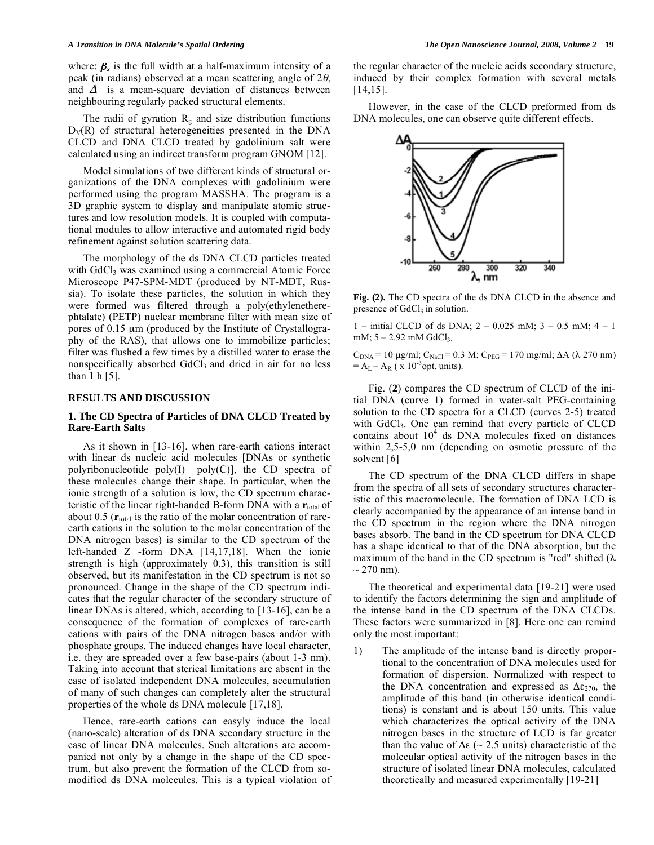where:  $\beta_s$  is the full width at a half-maximum intensity of a peak (in radians) observed at a mean scattering angle of  $2\theta$ , and  $\Delta$  is a mean-square deviation of distances between neighbouring regularly packed structural elements.

The radii of gyration  $R_g$  and size distribution functions  $D_V(R)$  of structural heterogeneities presented in the DNA CLCD and DNA CLCD treated by gadolinium salt were calculated using an indirect transform program GNOM [12].

Model simulations of two different kinds of structural organizations of the DNA complexes with gadolinium were performed using the program MASSHA. The program is a 3D graphic system to display and manipulate atomic structures and low resolution models. It is coupled with computational modules to allow interactive and automated rigid body refinement against solution scattering data.

The morphology of the ds DNA CLCD particles treated with GdCl<sub>3</sub> was examined using a commercial Atomic Force Microscope P47-SPM-MDT (produced by NT-MDT, Russia). To isolate these particles, the solution in which they were formed was filtered through a poly(ethylenetherephtalate) (PETP) nuclear membrane filter with mean size of pores of 0.15 μm (produced by the Institute of Crystallography of the RAS), that allows one to immobilize particles; filter was flushed a few times by a distilled water to erase the nonspecifically absorbed GdCl<sub>3</sub> and dried in air for no less than 1 h [5].

# **RESULTS AND DISCUSSION**

#### **1. The CD Spectra of Particles of DNA CLCD Treated by Rare-Earth Salts**

As it shown in [13-16], when rare-earth cations interact with linear ds nucleic acid molecules [DNAs or synthetic polyribonucleotide poly $(I)$ – poly $(C)$ ], the CD spectra of these molecules change their shape. In particular, when the ionic strength of a solution is low, the CD spectrum characteristic of the linear right-handed B-form DNA with a  $\mathbf{r}_{total}$  of about  $0.5$  ( $\mathbf{r}_{total}$  is the ratio of the molar concentration of rareearth cations in the solution to the molar concentration of the DNA nitrogen bases) is similar to the CD spectrum of the left-handed Z -form DNA [14,17,18]. When the ionic strength is high (approximately 0.3), this transition is still observed, but its manifestation in the CD spectrum is not so pronounced. Change in the shape of the CD spectrum indicates that the regular character of the secondary structure of linear DNAs is altered, which, according to [13-16], can be a consequence of the formation of complexes of rare-earth cations with pairs of the DNA nitrogen bases and/or with phosphate groups. The induced changes have local character, i.e. they are spreaded over a few base-pairs (about 1-3 nm). Taking into account that sterical limitations are absent in the case of isolated independent DNA molecules, accumulation of many of such changes can completely alter the structural properties of the whole ds DNA molecule [17,18].

Hence, rare-earth cations can easyly induce the local (nano-scale) alteration of ds DNA secondary structure in the case of linear DNA molecules. Such alterations are accompanied not only by a change in the shape of the CD spectrum, but also prevent the formation of the CLCD from somodified ds DNA molecules. This is a typical violation of the regular character of the nucleic acids secondary structure, induced by their complex formation with several metals [14,15].

However, in the case of the CLCD preformed from ds DNA molecules, one can observe quite different effects.



**Fig. (2).** The CD spectra of the ds DNA CLCD in the absence and presence of GdCl<sub>3</sub> in solution.

1 – initial CLCD of ds DNA;  $2 - 0.025$  mM;  $3 - 0.5$  mM;  $4 - 1$ mM;  $5 - 2.92$  mM GdCl<sub>3</sub>.

 $C_{DNA}$  = 10 μg/ml; C<sub>NaCl</sub> = 0.3 M; C<sub>PEG</sub> = 170 mg/ml; ΔA (λ 270 nm)  $= A_{L} - A_{R}$  ( x 10<sup>-3</sup>opt. units).

Fig. (**2**) compares the CD spectrum of CLCD of the initial DNA (curve 1) formed in water-salt PEG-containing solution to the CD spectra for a CLCD (curves 2-5) treated with GdCl<sub>3</sub>. One can remind that every particle of CLCD contains about  $10^4$  ds DNA molecules fixed on distances within 2,5-5,0 nm (depending on osmotic pressure of the solvent [6]

The CD spectrum of the DNA CLCD differs in shape from the spectra of all sets of secondary structures characteristic of this macromolecule. The formation of DNA LCD is clearly accompanied by the appearance of an intense band in the CD spectrum in the region where the DNA nitrogen bases absorb. The band in the CD spectrum for DNA CLCD has a shape identical to that of the DNA absorption, but the maximum of the band in the CD spectrum is "red" shifted  $(\lambda$  $\sim$  270 nm).

The theoretical and experimental data [19-21] were used to identify the factors determining the sign and amplitude of the intense band in the CD spectrum of the DNA CLCDs. These factors were summarized in [8]. Here one can remind only the most important:

1) The amplitude of the intense band is directly proportional to the concentration of DNA molecules used for formation of dispersion. Normalized with respect to the DNA concentration and expressed as  $\Delta \epsilon_{270}$ , the amplitude of this band (in otherwise identical conditions) is constant and is about 150 units. This value which characterizes the optical activity of the DNA nitrogen bases in the structure of LCD is far greater than the value of  $\Delta \varepsilon$  (~ 2.5 units) characteristic of the molecular optical activity of the nitrogen bases in the structure of isolated linear DNA molecules, calculated theoretically and measured experimentally [19-21]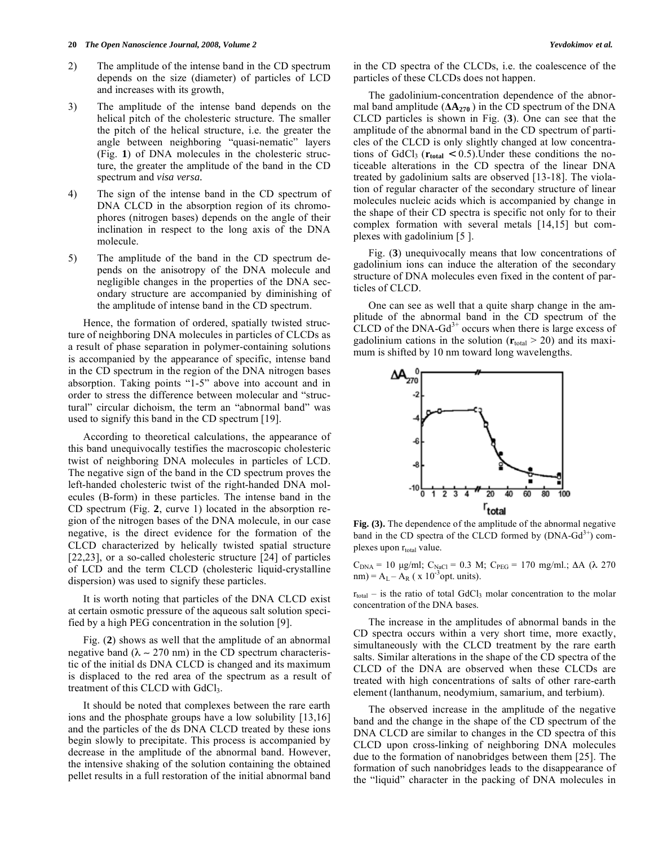- 2) The amplitude of the intense band in the CD spectrum depends on the size (diameter) of particles of LCD and increases with its growth,
- 3) The amplitude of the intense band depends on the helical pitch of the cholesteric structure. The smaller the pitch of the helical structure, i.e. the greater the angle between neighboring "quasi-nematic" layers (Fig. **1**) of DNA molecules in the cholesteric structure, the greater the amplitude of the band in the CD spectrum and *visa versa.*
- 4) The sign of the intense band in the CD spectrum of DNA CLCD in the absorption region of its chromophores (nitrogen bases) depends on the angle of their inclination in respect to the long axis of the DNA molecule.
- 5) The amplitude of the band in the CD spectrum depends on the anisotropy of the DNA molecule and negligible changes in the properties of the DNA secondary structure are accompanied by diminishing of the amplitude of intense band in the CD spectrum.

Hence, the formation of ordered, spatially twisted structure of neighboring DNA molecules in particles of CLCDs as a result of phase separation in polymer-containing solutions is accompanied by the appearance of specific, intense band in the CD spectrum in the region of the DNA nitrogen bases absorption. Taking points "1-5" above into account and in order to stress the difference between molecular and "structural" circular dichoism, the term an "abnormal band" was used to signify this band in the CD spectrum [19].

According to theoretical calculations, the appearance of this band unequivocally testifies the macroscopic cholesteric twist of neighboring DNA molecules in particles of LCD. The negative sign of the band in the CD spectrum proves the left-handed cholesteric twist of the right-handed DNA molecules (B-form) in these particles. The intense band in the CD spectrum (Fig. **2**, curve 1) located in the absorption region of the nitrogen bases of the DNA molecule, in our case negative, is the direct evidence for the formation of the CLCD characterized by helically twisted spatial structure [22,23], or a so-called cholesteric structure [24] of particles of LCD and the term CLCD (cholesteric liquid-crystalline dispersion) was used to signify these particles.

It is worth noting that particles of the DNA CLCD exist at certain osmotic pressure of the aqueous salt solution specified by a high PEG concentration in the solution [9].

Fig. (**2**) shows as well that the amplitude of an abnormal negative band ( $\lambda \sim 270$  nm) in the CD spectrum characteristic of the initial ds DNA CLCD is changed and its maximum is displaced to the red area of the spectrum as a result of treatment of this CLCD with GdCl<sub>3</sub>.

It should be noted that complexes between the rare earth ions and the phosphate groups have a low solubility [13,16] and the particles of the ds DNA CLCD treated by these ions begin slowly to precipitate. This process is accompanied by decrease in the amplitude of the abnormal band. However, the intensive shaking of the solution containing the obtained pellet results in a full restoration of the initial abnormal band

The gadolinium-concentration dependence of the abnormal band amplitude  $(AA_{270})$  in the CD spectrum of the DNA CLCD particles is shown in Fig. (**3**). One can see that the amplitude of the abnormal band in the CD spectrum of particles of the CLCD is only slightly changed at low concentrations of GdCl<sub>3</sub> ( $\mathbf{r}_{total}$  < 0.5). Under these conditions the noticeable alterations in the CD spectra of the linear DNA treated by gadolinium salts are observed [13-18]. The violation of regular character of the secondary structure of linear molecules nucleic acids which is accompanied by change in the shape of their CD spectra is specific not only for to their complex formation with several metals [14,15] but complexes with gadolinium [5 ].

Fig. (**3**) unequivocally means that low concentrations of gadolinium ions can induce the alteration of the secondary structure of DNA molecules even fixed in the content of particles of CLCD.

One can see as well that a quite sharp change in the amplitude of the abnormal band in the CD spectrum of the CLCD of the DNA-Gd<sup>3+</sup> occurs when there is large excess of gadolinium cations in the solution  $(r<sub>total</sub> > 20)$  and its maximum is shifted by 10 nm toward long wavelengths.



Fig. (3). The dependence of the amplitude of the abnormal negative band in the CD spectra of the CLCD formed by  $(DNA-Gd<sup>3+</sup>)$  complexes upon r<sub>total</sub> value.

 $C_{DNA}$  = 10 μg/ml;  $C_{NaCl}$  = 0.3 M;  $C_{PEG}$  = 170 mg/ml.; ΔA (λ 270 nm) =  $A_L - A_R$  ( x 10<sup>-3</sup>opt. units).

 $r_{total}$  – is the ratio of total GdCl<sub>3</sub> molar concentration to the molar concentration of the DNA bases.

The increase in the amplitudes of abnormal bands in the CD spectra occurs within a very short time, more exactly, simultaneously with the CLCD treatment by the rare earth salts. Similar alterations in the shape of the CD spectra of the CLCD of the DNA are observed when these CLCDs are treated with high concentrations of salts of other rare-earth element (lanthanum, neodymium, samarium, and terbium).

The observed increase in the amplitude of the negative band and the change in the shape of the CD spectrum of the DNA CLCD are similar to changes in the CD spectra of this CLCD upon cross-linking of neighboring DNA molecules due to the formation of nanobridges between them [25]. The formation of such nanobridges leads to the disappearance of the "liquid" character in the packing of DNA molecules in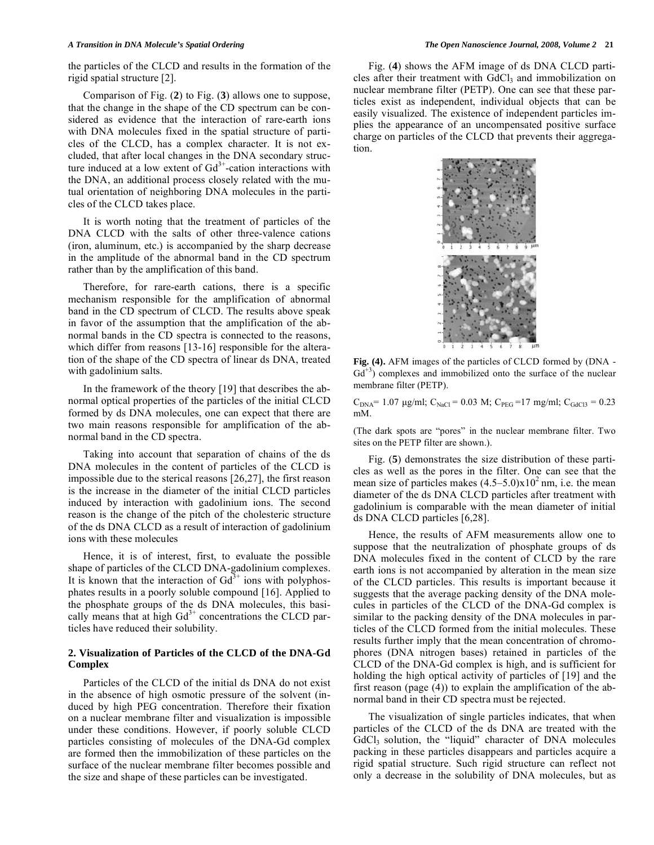the particles of the CLCD and results in the formation of the rigid spatial structure [2].

Comparison of Fig. (**2**) to Fig. (**3**) allows one to suppose, that the change in the shape of the CD spectrum can be considered as evidence that the interaction of rare-earth ions with DNA molecules fixed in the spatial structure of particles of the CLCD, has a complex character. It is not excluded, that after local changes in the DNA secondary structure induced at a low extent of  $Gd^{3+}$ -cation interactions with the DNA, an additional process closely related with the mutual orientation of neighboring DNA molecules in the particles of the CLCD takes place.

It is worth noting that the treatment of particles of the DNA CLCD with the salts of other three-valence cations (iron, aluminum, etc.) is accompanied by the sharp decrease in the amplitude of the abnormal band in the CD spectrum rather than by the amplification of this band.

Therefore, for rare-earth cations, there is a specific mechanism responsible for the amplification of abnormal band in the CD spectrum of CLCD. The results above speak in favor of the assumption that the amplification of the abnormal bands in the CD spectra is connected to the reasons, which differ from reasons [13-16] responsible for the alteration of the shape of the CD spectra of linear ds DNA, treated with gadolinium salts.

In the framework of the theory [19] that describes the abnormal optical properties of the particles of the initial CLCD formed by ds DNA molecules, one can expect that there are two main reasons responsible for amplification of the abnormal band in the CD spectra.

Taking into account that separation of chains of the ds DNA molecules in the content of particles of the CLCD is impossible due to the sterical reasons [26,27], the first reason is the increase in the diameter of the initial CLCD particles induced by interaction with gadolinium ions. The second reason is the change of the pitch of the cholesteric structure of the ds DNA CLCD as a result of interaction of gadolinium ions with these molecules

Hence, it is of interest, first, to evaluate the possible shape of particles of the CLCD DNA-gadolinium complexes. It is known that the interaction of  $Gd^{3+}$  ions with polyphosphates results in a poorly soluble compound [16]. Applied to the phosphate groups of the ds DNA molecules, this basically means that at high  $Gd<sup>3+</sup>$  concentrations the CLCD particles have reduced their solubility.

### **2. Visualization of Particles of the CLCD of the DNA-Gd Complex**

Particles of the CLCD of the initial ds DNA do not exist in the absence of high osmotic pressure of the solvent (induced by high PEG concentration. Therefore their fixation on a nuclear membrane filter and visualization is impossible under these conditions. However, if poorly soluble CLCD particles consisting of molecules of the DNA-Gd complex are formed then the immobilization of these particles on the surface of the nuclear membrane filter becomes possible and the size and shape of these particles can be investigated.

Fig. (**4**) shows the AFM image of ds DNA CLCD particles after their treatment with GdCl<sub>3</sub> and immobilization on nuclear membrane filter (PETP). One can see that these particles exist as independent, individual objects that can be easily visualized. The existence of independent particles implies the appearance of an uncompensated positive surface charge on particles of the CLCD that prevents their aggregation.



**Fig. (4).** AFM images of the particles of CLCD formed by (DNA -  $Gd^{+3}$ ) complexes and immobilized onto the surface of the nuclear membrane filter (PETP).

 $C_{DNA}$ = 1.07 μg/ml;  $C_{NaCl}$  = 0.03 M;  $C_{PEG}$  =17 mg/ml;  $C_{GdCl3}$  = 0.23 mM.

(The dark spots are "pores" in the nuclear membrane filter. Two sites on the PETP filter are shown.).

Fig. (**5**) demonstrates the size distribution of these particles as well as the pores in the filter. One can see that the mean size of particles makes  $(4.5-5.0)x10<sup>2</sup>$  nm, i.e. the mean diameter of the ds DNA CLCD particles after treatment with gadolinium is comparable with the mean diameter of initial ds DNA CLCD particles [6,28].

Hence, the results of AFM measurements allow one to suppose that the neutralization of phosphate groups of ds DNA molecules fixed in the content of CLCD by the rare earth ions is not accompanied by alteration in the mean size of the CLCD particles. This results is important because it suggests that the average packing density of the DNA molecules in particles of the CLCD of the DNA-Gd complex is similar to the packing density of the DNA molecules in particles of the CLCD formed from the initial molecules. These results further imply that the mean concentration of chromophores (DNA nitrogen bases) retained in particles of the CLCD of the DNA-Gd complex is high, and is sufficient for holding the high optical activity of particles of [19] and the first reason (page (4)) to explain the amplification of the abnormal band in their CD spectra must be rejected.

The visualization of single particles indicates, that when particles of the CLCD of the ds DNA are treated with the GdCl<sub>3</sub> solution, the "liquid" character of DNA molecules packing in these particles disappears and particles acquire a rigid spatial structure. Such rigid structure can reflect not only a decrease in the solubility of DNA molecules, but as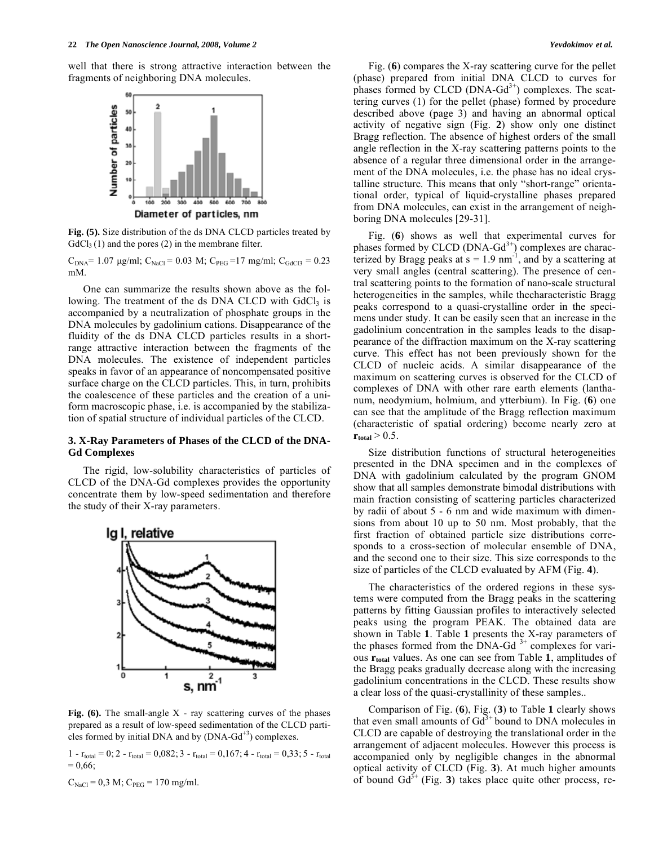well that there is strong attractive interaction between the fragments of neighboring DNA molecules.



**Fig. (5).** Size distribution of the ds DNA CLCD particles treated by  $GdCl<sub>3</sub>(1)$  and the pores (2) in the membrane filter.

 $C_{DNA}$ = 1.07 μg/ml;  $C_{NaCl}$  = 0.03 M;  $C_{PEG}$  =17 mg/ml;  $C_{GdCl3}$  = 0.23 mM.

One can summarize the results shown above as the following. The treatment of the ds DNA CLCD with  $GdCl<sub>3</sub>$  is accompanied by a neutralization of phosphate groups in the DNA molecules by gadolinium cations. Disappearance of the fluidity of the ds DNA CLCD particles results in a shortrange attractive interaction between the fragments of the DNA molecules. The existence of independent particles speaks in favor of an appearance of noncompensated positive surface charge on the CLCD particles. This, in turn, prohibits the coalescence of these particles and the creation of a uniform macroscopic phase, i.e. is accompanied by the stabilization of spatial structure of individual particles of the CLCD.

### **3. X-Ray Parameters of Phases of the CLCD of the DNA-Gd Complexes**

The rigid, low-solubility characteristics of particles of CLCD of the DNA-Gd complexes provides the opportunity concentrate them by low-speed sedimentation and therefore the study of their X-ray parameters.



**Fig. (6).** The small-angle X - ray scattering curves of the phases prepared as a result of low-speed sedimentation of the CLCD particles formed by initial DNA and by  $(DNA-Gd^{+3})$  complexes.

1 -  $r_{total} = 0$ ; 2 -  $r_{total} = 0.082$ ; 3 -  $r_{total} = 0.167$ ; 4 -  $r_{total} = 0.33$ ; 5 -  $r_{total}$  $= 0.66$ ;

 $C_{\text{NaCl}} = 0.3 \text{ M}; C_{\text{PEG}} = 170 \text{ mg/ml}.$ 

Fig. (**6**) compares the X-ray scattering curve for the pellet (phase) prepared from initial DNA CLCD to curves for phases formed by CLCD  $(DNA-Gd<sup>3+</sup>)$  complexes. The scattering curves (1) for the pellet (phase) formed by procedure described above (page 3) and having an abnormal optical activity of negative sign (Fig. **2**) show only one distinct Bragg reflection. The absence of highest orders of the small angle reflection in the X-ray scattering patterns points to the absence of a regular three dimensional order in the arrangement of the DNA molecules, i.e. the phase has no ideal crystalline structure. This means that only "short-range" orientational order, typical of liquid-crystalline phases prepared from DNA molecules, can exist in the arrangement of neighboring DNA molecules [29-31].

Fig. (**6**) shows as well that experimental curves for phases formed by CLCD  $(DNA-Gd^{3+})$  complexes are characterized by Bragg peaks at  $s = 1.9$  nm<sup>-1</sup>, and by a scattering at very small angles (central scattering). The presence of central scattering points to the formation of nano-scale structural heterogeneities in the samples, while thecharacteristic Bragg peaks correspond to a quasi-crystalline order in the specimens under study. It can be easily seen that an increase in the gadolinium concentration in the samples leads to the disappearance of the diffraction maximum on the X-ray scattering curve. This effect has not been previously shown for the CLCD of nucleic acids. A similar disappearance of the maximum on scattering curves is observed for the CLCD of complexes of DNA with other rare earth elements (lanthanum, neodymium, holmium, and ytterbium). In Fig. (**6**) one can see that the amplitude of the Bragg reflection maximum (characteristic of spatial ordering) become nearly zero at  $r_{\text{total}} > 0.5$ .

Size distribution functions of structural heterogeneities presented in the DNA specimen and in the complexes of DNA with gadolinium calculated by the program GNOM show that all samples demonstrate bimodal distributions with main fraction consisting of scattering particles characterized by radii of about 5 - 6 nm and wide maximum with dimensions from about 10 up to 50 nm. Most probably, that the first fraction of obtained particle size distributions corresponds to a cross-section of molecular ensemble of DNA, and the second one to their size. This size corresponds to the size of particles of the CLCD evaluated by AFM (Fig. **4**).

The characteristics of the ordered regions in these systems were computed from the Bragg peaks in the scattering patterns by fitting Gaussian profiles to interactively selected peaks using the program PEAK. The obtained data are shown in Table **1**. Table **1** presents the X-ray parameters of the phases formed from the DNA-Gd<sup>3+</sup> complexes for various **rtotal** values. As one can see from Table **1**, amplitudes of the Bragg peaks gradually decrease along with the increasing gadolinium concentrations in the CLCD. These results show a clear loss of the quasi-crystallinity of these samples..

Comparison of Fig. (**6**), Fig. (**3**) to Table **1** clearly shows that even small amounts of  $Gd^{3+}$  bound to DNA molecules in CLCD are capable of destroying the translational order in the arrangement of adjacent molecules. However this process is accompanied only by negligible changes in the abnormal optical activity of CLCD (Fig. **3**). At much higher amounts of bound  $Gd^{3+}$  (Fig. 3) takes place quite other process, re-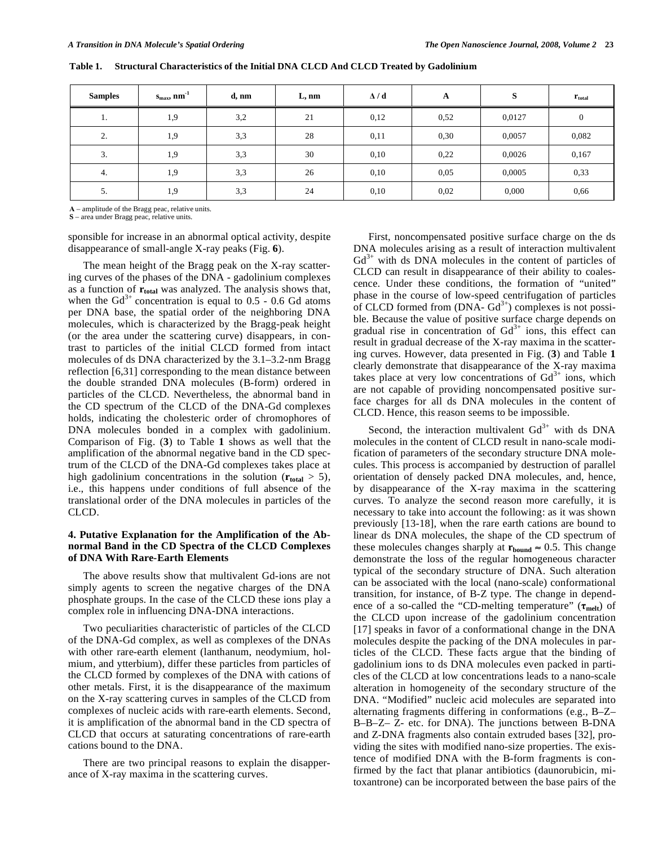| <b>Samples</b> | $s_{max}$ , nm <sup>-1</sup> | d, nm | L, nm | $\Delta/d$ | A    | S      | $r_{\text{total}}$ |
|----------------|------------------------------|-------|-------|------------|------|--------|--------------------|
| 1.             | 1,9                          | 3,2   | 21    | 0,12       | 0,52 | 0,0127 | 0                  |
| 2.             | 1,9                          | 3,3   | 28    | 0,11       | 0,30 | 0,0057 | 0,082              |
| 3.             | 1,9                          | 3,3   | 30    | 0,10       | 0,22 | 0,0026 | 0,167              |
| 4.             | 1,9                          | 3,3   | 26    | 0,10       | 0,05 | 0,0005 | 0,33               |
| 5.             | 1,9                          | 3,3   | 24    | 0,10       | 0,02 | 0,000  | 0,66               |

**Table 1. Structural Characteristics of the Initial DNA CLCD And CLCD Treated by Gadolinium** 

– amplitude of the Bragg peac, relative units.

**S** – area under Bragg peac, relative units.

sponsible for increase in an abnormal optical activity, despite disappearance of small-angle X-ray peaks (Fig. **6**).

The mean height of the Bragg peak on the X-ray scattering curves of the phases of the DNA - gadolinium complexes as a function of **rtotal** was analyzed. The analysis shows that, when the  $Gd^{3+}$  concentration is equal to 0.5 - 0.6 Gd atoms per DNA base, the spatial order of the neighboring DNA molecules, which is characterized by the Bragg-peak height (or the area under the scattering curve) disappears, in contrast to particles of the initial CLCD formed from intact molecules of ds DNA characterized by the 3.1–3.2-nm Bragg reflection [6,31] corresponding to the mean distance between the double stranded DNA molecules (B-form) ordered in particles of the CLCD. Nevertheless, the abnormal band in the CD spectrum of the CLCD of the DNA-Gd complexes holds, indicating the cholesteric order of chromophores of DNA molecules bonded in a complex with gadolinium. Comparison of Fig. (**3**) to Table **1** shows as well that the amplification of the abnormal negative band in the CD spectrum of the CLCD of the DNA-Gd complexes takes place at high gadolinium concentrations in the solution  $(r_{total} > 5)$ , i.e., this happens under conditions of full absence of the translational order of the DNA molecules in particles of the CLCD.

### **4. Putative Explanation for the Amplification of the Abnormal Band in the CD Spectra of the CLCD Complexes of DNA With Rare-Earth Elements**

The above results show that multivalent Gd-ions are not simply agents to screen the negative charges of the DNA phosphate groups. In the case of the CLCD these ions play a complex role in influencing DNA-DNA interactions.

Two peculiarities characteristic of particles of the CLCD of the DNA-Gd complex, as well as complexes of the DNAs with other rare-earth element (lanthanum, neodymium, holmium, and ytterbium), differ these particles from particles of the CLCD formed by complexes of the DNA with cations of other metals. First, it is the disappearance of the maximum on the X-ray scattering curves in samples of the CLCD from complexes of nucleic acids with rare-earth elements. Second, it is amplification of the abnormal band in the CD spectra of CLCD that occurs at saturating concentrations of rare-earth cations bound to the DNA.

There are two principal reasons to explain the disapperance of X-ray maxima in the scattering curves.

First, noncompensated positive surface charge on the ds DNA molecules arising as a result of interaction multivalent  $Gd^{3+}$  with ds DNA molecules in the content of particles of CLCD can result in disappearance of their ability to coalescence. Under these conditions, the formation of "united" phase in the course of low-speed centrifugation of particles of CLCD formed from  $(DNA - Gd^{3+})$  complexes is not possible. Because the value of positive surface charge depends on gradual rise in concentration of  $Gd<sup>3+</sup>$  ions, this effect can result in gradual decrease of the X-ray maxima in the scattering curves. However, data presented in Fig. (**3**) and Table **1** clearly demonstrate that disappearance of the X-ray maxima takes place at very low concentrations of  $Gd^{3+}$  ions, which are not capable of providing noncompensated positive surface charges for all ds DNA molecules in the content of CLCD. Hence, this reason seems to be impossible.

Second, the interaction multivalent  $Gd^{3+}$  with ds DNA molecules in the content of CLCD result in nano-scale modification of parameters of the secondary structure DNA molecules. This process is accompanied by destruction of parallel orientation of densely packed DNA molecules, and, hence, by disappearance of the X-ray maxima in the scattering curves. To analyze the second reason more carefully, it is necessary to take into account the following: as it was shown previously [13-18], when the rare earth cations are bound to linear ds DNA molecules, the shape of the CD spectrum of these molecules changes sharply at  $\mathbf{r}_{\text{bound}} \approx 0.5$ . This change demonstrate the loss of the regular homogeneous character typical of the secondary structure of DNA. Such alteration can be associated with the local (nano-scale) conformational transition, for instance, of B-Z type. The change in dependence of a so-called the "CD-melting temperature"  $(\tau_{\text{melt}})$  of the CLCD upon increase of the gadolinium concentration [17] speaks in favor of a conformational change in the DNA molecules despite the packing of the DNA molecules in particles of the CLCD. These facts argue that the binding of gadolinium ions to ds DNA molecules even packed in particles of the CLCD at low concentrations leads to a nano-scale alteration in homogeneity of the secondary structure of the DNA. "Modified" nucleic acid molecules are separated into alternating fragments differing in conformations (e.g., B–Z– B–B–Z– Z- etc. for DNA). The junctions between B-DNA and Z-DNA fragments also contain extruded bases [32], providing the sites with modified nano-size properties. The existence of modified DNA with the B-form fragments is confirmed by the fact that planar antibiotics (daunorubicin, mitoxantrone) can be incorporated between the base pairs of the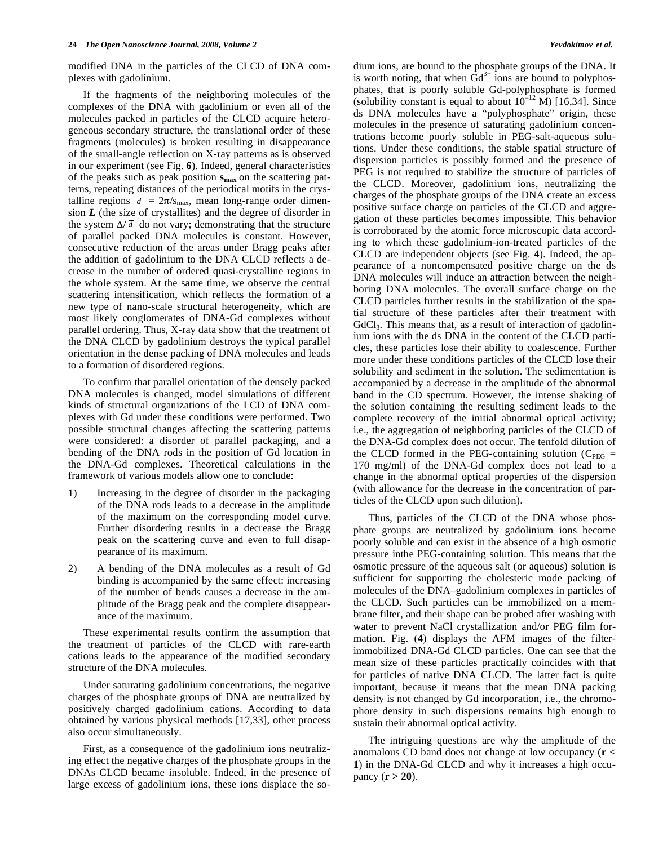modified DNA in the particles of the CLCD of DNA complexes with gadolinium.

If the fragments of the neighboring molecules of the complexes of the DNA with gadolinium or even all of the molecules packed in particles of the CLCD acquire heterogeneous secondary structure, the translational order of these fragments (molecules) is broken resulting in disappearance of the small-angle reflection on X-ray patterns as is observed in our experiment (see Fig. **6**). Indeed, general characteristics of the peaks such as peak position **smax** on the scattering patterns, repeating distances of the periodical motifs in the crystalline regions  $\bar{d} = 2\pi/s_{\text{max}}$ , mean long-range order dimension *L* (the size of crystallites) and the degree of disorder in the system  $\Delta/\bar{d}$  do not vary; demonstrating that the structure of parallel packed DNA molecules is constant. However, consecutive reduction of the areas under Bragg peaks after the addition of gadolinium to the DNA CLCD reflects a decrease in the number of ordered quasi-crystalline regions in the whole system. At the same time, we observe the central scattering intensification, which reflects the formation of a new type of nano-scale structural heterogeneity, which are most likely conglomerates of DNA-Gd complexes without parallel ordering. Thus, X-ray data show that the treatment of the DNA CLCD by gadolinium destroys the typical parallel orientation in the dense packing of DNA molecules and leads to a formation of disordered regions.

To confirm that parallel orientation of the densely packed DNA molecules is changed, model simulations of different kinds of structural organizations of the LCD of DNA complexes with Gd under these conditions were performed. Two possible structural changes affecting the scattering patterns were considered: a disorder of parallel packaging, and a bending of the DNA rods in the position of Gd location in the DNA-Gd complexes. Theoretical calculations in the framework of various models allow one to conclude:

- 1) Increasing in the degree of disorder in the packaging of the DNA rods leads to a decrease in the amplitude of the maximum on the corresponding model curve. Further disordering results in a decrease the Bragg peak on the scattering curve and even to full disappearance of its maximum.
- 2) A bending of the DNA molecules as a result of Gd binding is accompanied by the same effect: increasing of the number of bends causes a decrease in the amplitude of the Bragg peak and the complete disappearance of the maximum.

These experimental results confirm the assumption that the treatment of particles of the CLCD with rare-earth cations leads to the appearance of the modified secondary structure of the DNA molecules.

Under saturating gadolinium concentrations, the negative charges of the phosphate groups of DNA are neutralized by positively charged gadolinium cations. According to data obtained by various physical methods [17,33], other process also occur simultaneously.

First, as a consequence of the gadolinium ions neutralizing effect the negative charges of the phosphate groups in the DNAs CLCD became insoluble. Indeed, in the presence of large excess of gadolinium ions, these ions displace the sodium ions, are bound to the phosphate groups of the DNA. It is worth noting, that when  $\tilde{G}d^{3+}$  ions are bound to polyphosphates, that is poorly soluble Gd-polyphosphate is formed (solubility constant is equal to about  $10^{-12}$  M) [16,34]. Since ds DNA molecules have a "polyphosphate" origin, these molecules in the presence of saturating gadolinium concentrations become poorly soluble in PEG-salt-aqueous solutions. Under these conditions, the stable spatial structure of dispersion particles is possibly formed and the presence of PEG is not required to stabilize the structure of particles of the CLCD. Moreover, gadolinium ions, neutralizing the charges of the phosphate groups of the DNA create an excess positive surface charge on particles of the CLCD and aggregation of these particles becomes impossible. This behavior is corroborated by the atomic force microscopic data according to which these gadolinium-ion-treated particles of the CLCD are independent objects (see Fig. **4**). Indeed, the appearance of a noncompensated positive charge on the ds DNA molecules will induce an attraction between the neighboring DNA molecules. The overall surface charge on the CLCD particles further results in the stabilization of the spatial structure of these particles after their treatment with GdCl<sub>3</sub>. This means that, as a result of interaction of gadolinium ions with the ds DNA in the content of the CLCD particles, these particles lose their ability to coalescence. Further more under these conditions particles of the CLCD lose their solubility and sediment in the solution. The sedimentation is accompanied by a decrease in the amplitude of the abnormal band in the CD spectrum. However, the intense shaking of the solution containing the resulting sediment leads to the complete recovery of the initial abnormal optical activity; i.e., the aggregation of neighboring particles of the CLCD of the DNA-Gd complex does not occur. The tenfold dilution of the CLCD formed in the PEG-containing solution ( $C_{PEG}$  = 170 mg/ml) of the DNA-Gd complex does not lead to a change in the abnormal optical properties of the dispersion (with allowance for the decrease in the concentration of particles of the CLCD upon such dilution).

Thus, particles of the CLCD of the DNA whose phosphate groups are neutralized by gadolinium ions become poorly soluble and can exist in the absence of a high osmotic pressure inthe PEG-containing solution. This means that the osmotic pressure of the aqueous salt (or aqueous) solution is sufficient for supporting the cholesteric mode packing of molecules of the DNA–gadolinium complexes in particles of the CLCD. Such particles can be immobilized on a membrane filter, and their shape can be probed after washing with water to prevent NaCl crystallization and/or PEG film formation. Fig. (**4**) displays the AFM images of the filterimmobilized DNA-Gd CLCD particles. One can see that the mean size of these particles practically coincides with that for particles of native DNA CLCD. The latter fact is quite important, because it means that the mean DNA packing density is not changed by Gd incorporation, i.e., the chromophore density in such dispersions remains high enough to sustain their abnormal optical activity.

The intriguing questions are why the amplitude of the anomalous CD band does not change at low occupancy (**r < 1**) in the DNA-Gd CLCD and why it increases a high occupancy (**r > 20**).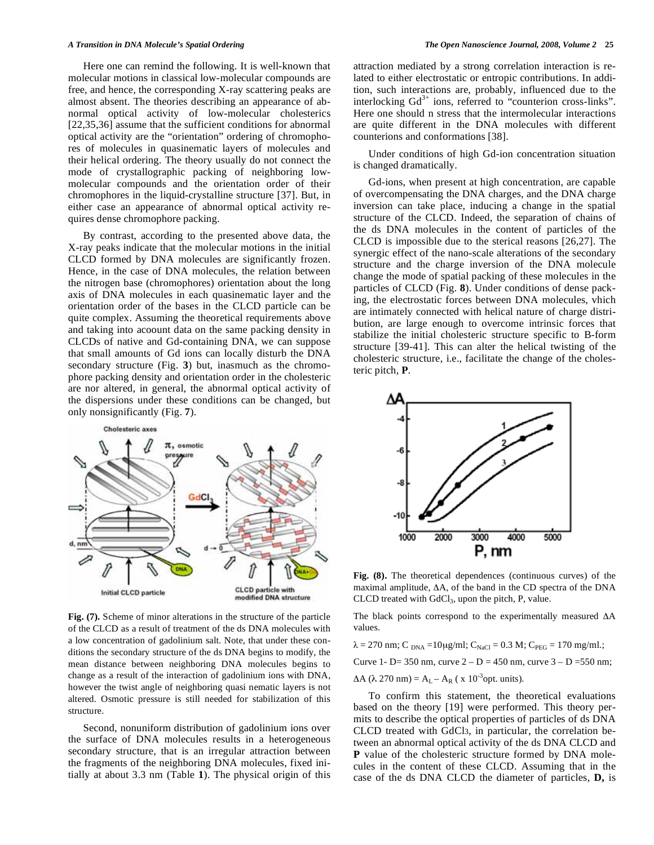Here one can remind the following. It is well-known that molecular motions in classical low-molecular compounds are free, and hence, the corresponding X-ray scattering peaks are almost absent. The theories describing an appearance of abnormal optical activity of low-molecular cholesterics [22,35,36] assume that the sufficient conditions for abnormal optical activity are the "orientation" ordering of chromophores of molecules in quasinematic layers of molecules and their helical ordering. The theory usually do not connect the mode of crystallographic packing of neighboring lowmolecular compounds and the orientation order of their chromophores in the liquid-crystalline structure [37]. But, in either case an appearance of abnormal optical activity requires dense chromophore packing.

By contrast, according to the presented above data, the X-ray peaks indicate that the molecular motions in the initial CLCD formed by DNA molecules are significantly frozen. Hence, in the case of DNA molecules, the relation between the nitrogen base (chromophores) orientation about the long axis of DNA molecules in each quasinematic layer and the orientation order of the bases in the CLCD particle can be quite complex. Assuming the theoretical requirements above and taking into acoount data on the same packing density in CLCDs of native and Gd-containing DNA, we can suppose that small amounts of Gd ions can locally disturb the DNA secondary structure (Fig. **3**) but, inasmuch as the chromophore packing density and orientation order in the cholesteric are nor altered, in general, the abnormal optical activity of the dispersions under these conditions can be changed, but only nonsignificantly (Fig. **7**).



**Fig. (7).** Scheme of minor alterations in the structure of the particle of the CLCD as a result of treatment of the ds DNA molecules with a low concentration of gadolinium salt. Note, that under these conditions the secondary structure of the ds DNA begins to modify, the mean distance between neighboring DNA molecules begins to change as a result of the interaction of gadolinium ions with DNA, however the twist angle of neighboring quasi nematic layers is not altered. Osmotic pressure is still needed for stabilization of this structure.

Second, nonuniform distribution of gadolinium ions over the surface of DNA molecules results in a heterogeneous secondary structure, that is an irregular attraction between the fragments of the neighboring DNA molecules, fixed initially at about 3.3 nm (Table **1**). The physical origin of this attraction mediated by a strong correlation interaction is related to either electrostatic or entropic contributions. In addition, such interactions are, probably, influenced due to the interlocking Gd<sup>3+</sup> ions, referred to "counterion cross-links". Here one should n stress that the intermolecular interactions are quite different in the DNA molecules with different counterions and conformations [38].

Under conditions of high Gd-ion concentration situation is changed dramatically.

Gd-ions, when present at high concentration, are capable of overcompensating the DNA charges, and the DNA charge inversion can take place, inducing a change in the spatial structure of the CLCD. Indeed, the separation of chains of the ds DNA molecules in the content of particles of the CLCD is impossible due to the sterical reasons [26,27]. The synergic effect of the nano-scale alterations of the secondary structure and the charge inversion of the DNA molecule change the mode of spatial packing of these molecules in the particles of CLCD (Fig. **8**). Under conditions of dense packing, the electrostatic forces between DNA molecules, vhich are intimately connected with helical nature of charge distribution, are large enough to overcome intrinsic forces that stabilize the initial cholesteric structure specific to B-form structure [39-41]. This can alter the helical twisting of the cholesteric structure, i.e., facilitate the change of the cholesteric pitch, **P**.



**Fig. (8).** The theoretical dependences (continuous curves) of the maximal amplitude,  $\Delta A$ , of the band in the CD spectra of the DNA CLCD treated with GdCl3, upon the pitch, P, value.

The black points correspond to the experimentally measured  $\Delta A$ values.

 $\lambda = 270$  nm; C  $_{DNA} = 10\mu g/ml$ ; C<sub>NaCl</sub> = 0.3 M; C<sub>PEG</sub> = 170 mg/ml.;

Curve 1- D= 350 nm, curve  $2 - D = 450$  nm, curve  $3 - D = 550$  nm;

 $\Delta A$  ( $\lambda$  270 nm) = A<sub>L</sub> – A<sub>R</sub> (x 10<sup>-3</sup>opt. units).

To confirm this statement, the theoretical evaluations based on the theory [19] were performed. This theory permits to describe the optical properties of particles of ds DNA CLCD treated with GdCl3, in particular, the correlation between an abnormal optical activity of the ds DNA CLCD and **P** value of the cholesteric structure formed by DNA molecules in the content of these CLCD. Assuming that in the case of the ds DNA CLCD the diameter of particles, **D,** is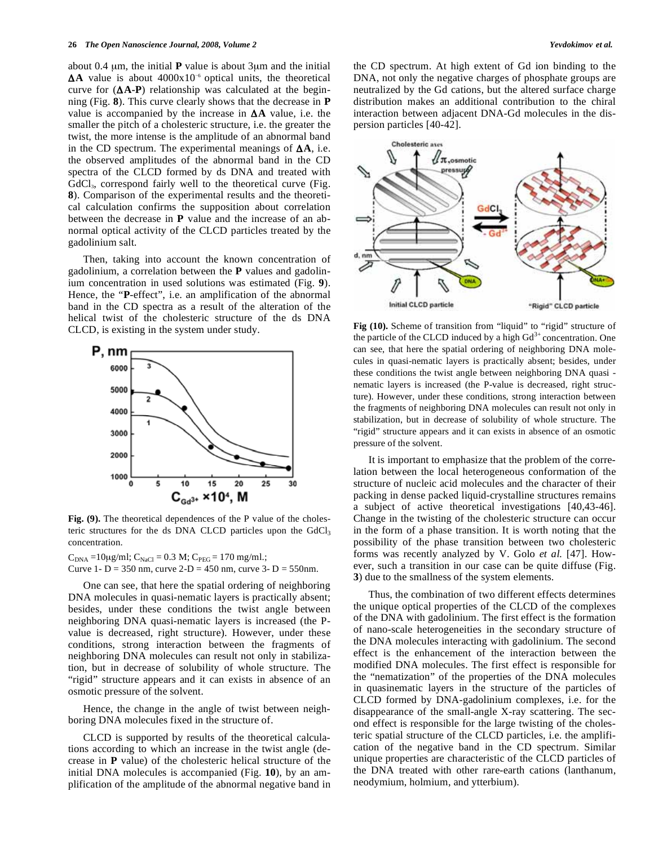about 0.4 μm, the initial **P** value is about 3μm and the initial  $\Delta A$  value is about  $4000x10^{-6}$  optical units, the theoretical curve for  $(AA-P)$  relationship was calculated at the beginning (Fig. **8**). This curve clearly shows that the decrease in **P** value is accompanied by the increase in  $\Delta A$  value, i.e. the smaller the pitch of a cholesteric structure, i.e. the greater the twist, the more intense is the amplitude of an abnormal band in the CD spectrum. The experimental meanings of  $\Delta A$ , i.e. the observed amplitudes of the abnormal band in the CD spectra of the CLCD formed by ds DNA and treated with GdCl<sub>3</sub>, correspond fairly well to the theoretical curve (Fig. **8**). Comparison of the experimental results and the theoretical calculation confirms the supposition about correlation between the decrease in **P** value and the increase of an abnormal optical activity of the CLCD particles treated by the gadolinium salt.

Then, taking into account the known concentration of gadolinium, a correlation between the **P** values and gadolinium concentration in used solutions was estimated (Fig. **9**). Hence, the "**P**-effect", i.e. an amplification of the abnormal band in the CD spectra as a result of the alteration of the helical twist of the cholesteric structure of the ds DNA CLCD, is existing in the system under study.



Fig. (9). The theoretical dependences of the P value of the cholesteric structures for the ds DNA CLCD particles upon the  $GdCl<sub>3</sub>$ concentration.

 $C_{DNA} = 10\mu g/ml$ ;  $C_{NaCl} = 0.3$  M;  $C_{PEG} = 170$  mg/ml.; Curve 1-  $D = 350$  nm, curve  $2-D = 450$  nm, curve  $3-D = 550$  nm.

One can see, that here the spatial ordering of neighboring DNA molecules in quasi-nematic layers is practically absent; besides, under these conditions the twist angle between neighboring DNA quasi-nematic layers is increased (the Pvalue is decreased, right structure). However, under these conditions, strong interaction between the fragments of neighboring DNA molecules can result not only in stabilization, but in decrease of solubility of whole structure. The "rigid" structure appears and it can exists in absence of an osmotic pressure of the solvent.

Hence, the change in the angle of twist between neighboring DNA molecules fixed in the structure of.

CLCD is supported by results of the theoretical calculations according to which an increase in the twist angle (decrease in **P** value) of the cholesteric helical structure of the initial DNA molecules is accompanied (Fig. **10**), by an amplification of the amplitude of the abnormal negative band in the CD spectrum. At high extent of Gd ion binding to the DNA, not only the negative charges of phosphate groups are neutralized by the Gd cations, but the altered surface charge distribution makes an additional contribution to the chiral interaction between adjacent DNA-Gd molecules in the dispersion particles [40-42].



**Fig (10).** Scheme of transition from "liquid" to "rigid" structure of the particle of the CLCD induced by a high  $Gd^{3+}$  concentration. One can see, that here the spatial ordering of neighboring DNA molecules in quasi-nematic layers is practically absent; besides, under these conditions the twist angle between neighboring DNA quasi nematic layers is increased (the P-value is decreased, right structure). However, under these conditions, strong interaction between the fragments of neighboring DNA molecules can result not only in stabilization, but in decrease of solubility of whole structure. The "rigid" structure appears and it can exists in absence of an osmotic pressure of the solvent.

It is important to emphasize that the problem of the correlation between the local heterogeneous conformation of the structure of nucleic acid molecules and the character of their packing in dense packed liquid-crystalline structures remains a subject of active theoretical investigations [40,43-46]. Change in the twisting of the cholesteric structure can occur in the form of a phase transition. It is worth noting that the possibility of the phase transition between two cholesteric forms was recently analyzed by V. Golo *et al.* [47]. However, such a transition in our case can be quite diffuse (Fig. **3**) due to the smallness of the system elements.

Thus, the combination of two different effects determines the unique optical properties of the CLCD of the complexes of the DNA with gadolinium. The first effect is the formation of nano-scale heterogeneities in the secondary structure of the DNA molecules interacting with gadolinium. The second effect is the enhancement of the interaction between the modified DNA molecules. The first effect is responsible for the "nematization" of the properties of the DNA molecules in quasinematic layers in the structure of the particles of CLCD formed by DNA-gadolinium complexes, i.e. for the disappearance of the small-angle X-ray scattering. The second effect is responsible for the large twisting of the cholesteric spatial structure of the CLCD particles, i.e. the amplification of the negative band in the CD spectrum. Similar unique properties are characteristic of the CLCD particles of the DNA treated with other rare-earth cations (lanthanum, neodymium, holmium, and ytterbium).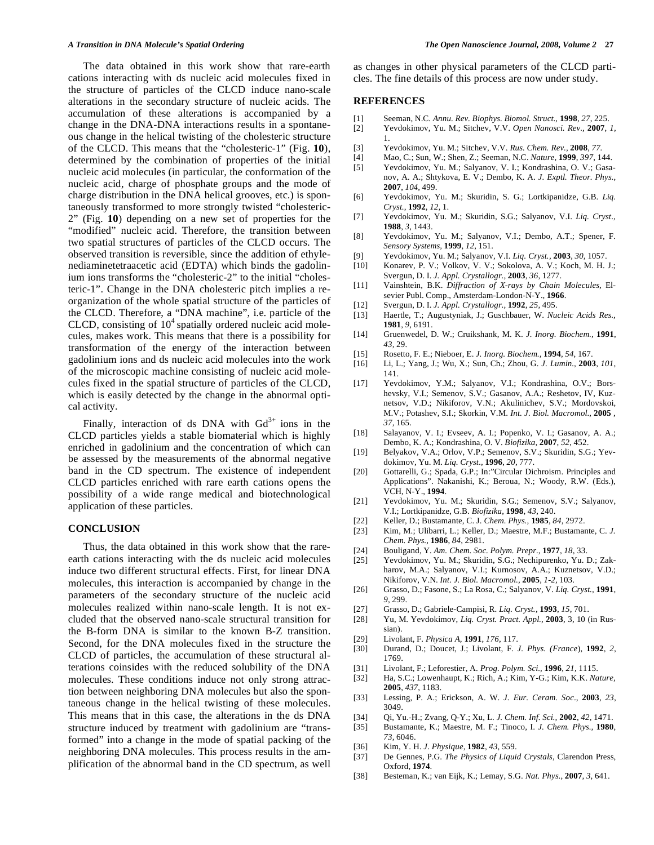The data obtained in this work show that rare-earth cations interacting with ds nucleic acid molecules fixed in the structure of particles of the CLCD induce nano-scale alterations in the secondary structure of nucleic acids. The accumulation of these alterations is accompanied by a change in the DNA-DNA interactions results in a spontaneous change in the helical twisting of the cholesteric structure of the CLCD. This means that the "cholesteric-1" (Fig. **10**), determined by the combination of properties of the initial nucleic acid molecules (in particular, the conformation of the nucleic acid, charge of phosphate groups and the mode of charge distribution in the DNA helical grooves, etc.) is spontaneously transformed to more strongly twisted "cholesteric-2" (Fig. **10**) depending on a new set of properties for the "modified" nucleic acid. Therefore, the transition between two spatial structures of particles of the CLCD occurs. The observed transition is reversible, since the addition of ethylenediaminetetraacetic acid (EDTA) which binds the gadolinium ions transforms the "cholesteric-2" to the initial "cholesteric-1". Change in the DNA cholesteric pitch implies a reorganization of the whole spatial structure of the particles of the CLCD. Therefore, a "DNA machine", i.e. particle of the CLCD, consisting of  $10<sup>4</sup>$  spatially ordered nucleic acid molecules, makes work. This means that there is a possibility for transformation of the energy of the interaction between gadolinium ions and ds nucleic acid molecules into the work of the microscopic machine consisting of nucleic acid molecules fixed in the spatial structure of particles of the CLCD, which is easily detected by the change in the abnormal optical activity.

Finally, interaction of ds DNA with  $Gd^{3+}$  ions in the CLCD particles yields a stable biomaterial which is highly enriched in gadolinium and the concentration of which can be assessed by the measurements of the abnormal negative band in the CD spectrum. The existence of independent CLCD particles enriched with rare earth cations opens the possibility of a wide range medical and biotechnological application of these particles.

# **CONCLUSION**

Thus, the data obtained in this work show that the rareearth cations interacting with the ds nucleic acid molecules induce two different structural effects. First, for linear DNA molecules, this interaction is accompanied by change in the parameters of the secondary structure of the nucleic acid molecules realized within nano-scale length. It is not excluded that the observed nano-scale structural transition for the B-form DNA is similar to the known B-Z transition. Second, for the DNA molecules fixed in the structure the CLCD of particles, the accumulation of these structural alterations coinsides with the reduced solubility of the DNA molecules. These conditions induce not only strong attraction between neighboring DNA molecules but also the spontaneous change in the helical twisting of these molecules. This means that in this case, the alterations in the ds DNA structure induced by treatment with gadolinium are "transformed" into a change in the mode of spatial packing of the neighboring DNA molecules. This process results in the amplification of the abnormal band in the CD spectrum, as well

as changes in other physical parameters of the CLCD particles. The fine details of this process are now under study.

#### **REFERENCES**

- [1] Seeman, N.C. *Annu. Rev. Biophys. Biomol. Struct.,* **1998**, *27*, 225.
- [2] Yevdokimov, Yu. M.; Sitchev, V.V. *Open Nanosci. Rev.,* **2007**, *1,*  1.
- [3] Yevdokimov, Yu. M.; Sitchev, V.V. *Rus. Chem. Rev.,* **2008**, *77.*
- [4] Mao, C.; Sun, W.; Shen, Z.; Seeman, N.C. *Nature,* **1999**, *397*, 144.
- [5] Yevdokimov, Yu. M.; Salyanov, V. I.; Kondrashina, O. V.; Gasanov, A. A.; Shtykova, E. V.; Dembo, K. A. *J. Exptl. Theor. Phys.,*  **2007**, *104,* 499.
- [6] Yevdokimov, Yu. M.; Skuridin, S. G.; Lortkipanidze, G.B. *Liq. Cryst.*, **1992**, *12,* 1.
- [7] Yevdokimov, Yu. M.; Skuridin, S.G.; Salyanov, V.I. *Liq. Cryst.,* **1988**, *3*, 1443.
- [8] Yevdokimov, Yu. M.; Salyanov, V.I.; Dembo, A.T.; Spener, F. *Sensory Systems,* **1999**, *12*, 151.
- [9] Yevdokimov, Yu. M.; Salyanov, V.I. *Liq. Cryst.,* **2003**, *30,* 1057.
- [10] Konarev, P. V.; Volkov, V. V.; Sokolova, A. V.; Koch, M. H. J.; Svergun, D. I. *J. Appl. Crystallogr.,* **2003**, *36*, 1277.
- [11] Vainshtein, B.K. *Diffraction of X-rays by Chain Molecules*, Elsevier Publ. Comp., Amsterdam-London-N-Y., **1966**.
- [12] Svergun, D. I. *J. Appl. Crystallogr.,* **1992**, *25*, 495.
- [13] Haertle, T.; Augustyniak, J.; Guschbauer, W. *Nucleic Acids Res.,* **1981**, *9,* 6191.
- [14] Gruenwedel, D. W.; Cruikshank, M. K. *J. Inorg. Biochem.,* **1991**, *43,* 29.
- [15] Rosetto, F. E.; Nieboer, E. *J. Inorg. Biochem.,* **1994**, *54*, 167.
- [16] Li, L.; Yang, J.; Wu, X.; Sun, Ch.; Zhou, G. *J. Lumin.,* **2003**, *101*, 141.
- [17] Yevdokimov, Y.M.; Salyanov, V.I.; Kondrashina, O.V.; Borshevsky, V.I.; Semenov, S.V.; Gasanov, A.A.; Reshetov, IV, Kuznetsov, V.D.; Nikiforov, V.N*.*; Akulinichev, S.V.; Mordovskoi, M.V.; Potashev, S.I.; Skorkin, V.M. *Int. J. Biol. Macromol.,* **2005** , *37,* 165.
- [18] Salayanov, V. I.; Evseev, A. I.; Popenko, V. I.; Gasanov, A. A.; Dembo, K. A.; Kondrashina, O. V. *Biofizika,* **2007**, *52*, 452.
- [19] Belyakov, V.A.; Orlov, V.P.; Semenov, S.V.; Skuridin, S.G.; Yevdokimov, Yu. M. *Liq. Cryst.,* **1996**, *20*, 777.
- [20] Gottarelli, G.; Spada, G.P.; In:"Circular Dichroism. Principles and Applications". Nakanishi, K.; Beroua, N.; Woody, R.W. (Eds.), VCH, N-Y., **1994**.
- [21] Yevdokimov, Yu. M.; Skuridin, S.G.; Semenov, S.V.; Salyanov, V.I.; Lortkipanidze, G.B. *Biofizika*, **1998**, *43,* 240.
- [22] Keller, D.; Bustamante, C. J. *Chem. Phys.,* **1985**, *84*, 2972.
- [23] Kim, M.; Ulibarri, L.; Keller, D.; Maestre, M.F.; Bustamante, C. *J. Chem. Phys.,* **1986**, *84*, 2981.
- [24] Bouligand, Y*. Am. Chem. Soc. Polym. Prepr.,* **1977**, *18*, 33.
- [25] Yevdokimov, Yu. M.; Skuridin, S.G.; Nechipurenko, Yu. D.; Zakharov, M.A.; Salyanov, V.I.; Kurnosov, A.A.; Kuznetsov, V.D.; Nikiforov, V.N. *Int. J. Biol. Macromol.,* **2005**, *1-2,* 103.
- [26] Grasso, D.; Fasone, S.; La Rosa, C.; Salyanov, V. *Liq. Cryst.,* **1991**, *9,* 299.
- [27] Grasso, D.; Gabriele-Campisi, R. *Liq. Cryst.,* **1993**, *15,* 701.
- [28] Yu, M. Yevdokimov, *Liq. Cryst. Pract. Appl.*, **2003**, 3, 10 (in Russian).
- [29] Livolant, F. *Physica A,* **1991**, *176*, 117.
- [30] Durand, D.; Doucet, J.; Livolant, F*. J. Phys. (France*), **1992**, *2*, 1769.
- [31] Livolant, F.; Leforestier, A. *Prog. Polym. Sci.,* **1996**, *21,* 1115.
- [32] Ha, S.C.; Lowenhaupt, K.; Rich, A.; Kim, Y-G.; Kim, K.K. *Nature,* **2005**, *437*, 1183.
- [33] Lessing, P. A.; Erickson, A. W. *J. Eur. Ceram. Soc*., **2003**, *23,*  3049.
- [34] Qi, Yu.-H.; Zvang, Q-Y.; Xu, L. *J. Chem. Inf. Sci.,* **2002**, *42,* 1471.
- [35] Bustamante, K.; Maestre, M. F.; Tinoco, I. *J. Chem. Phys.,* **1980**, *73,* 6046.
- [36] Kim, Y. H. *J. Physique,* **1982**, *43,* 559.
- [37] De Gennes, P.G. *The Physics of Liquid Crystals*, Clarendon Press, Oxford, **1974**.
- [38] Besteman, K.; van Eijk, K.; Lemay, S.G. *Nat. Phys.*, **2007**, *3,* 641.